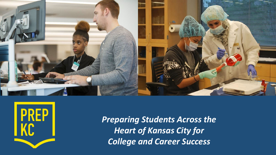



*Preparing Students Across the Heart of Kansas City for College and Career Success*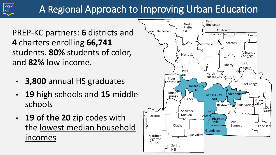# A Regional Approach to Improving Urban Education

PREP-KC partners: **6** districts and **4** charters enrolling **66,741**  students. **80%** students of color, and **82%** low income.

- **3,800** annual HS graduates
- **19** high schools and **15** middle schools
- **19 of the 20** zip codes with the lowest median household incomes and the state of the state of the state of the state of the state of the state of the state of the state of the state of the state of the state of the state of the state of the state of the state of the state of th

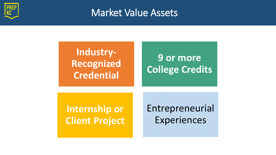

### Market Value Assets

### **Industry-Recognized Credential**

# **9 or more College Credits**

### **Internship or Client Project**

Entrepreneurial Experiences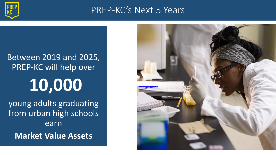

### PREP-KC's Next 5 Years

# Between 2019 and 2025, PREP-KC will help over **10,000** young adults graduating from urban high schools earn **Market Value Assets**

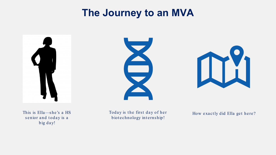## **The Journey to an MVA**







This is Ella—s he's a HS senior and today is a big day!

Today is the first day of her biotechnology internship!

How exactly did Ella get here?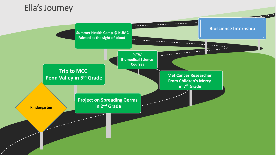### Ella's Journey

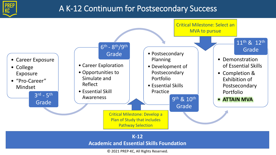

### A K-12 Continuum for Postsecondary Success

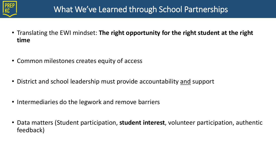

- Translating the EWI mindset: **The right opportunity for the right student at the right time**
- Common milestones creates equity of access
- District and school leadership must provide accountability and support
- Intermediaries do the legwork and remove barriers
- Data matters (Student participation, **student interest**, volunteer participation, authentic feedback)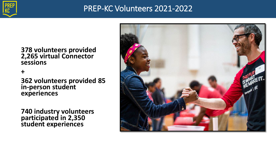

### PREP-KC Volunteers 2021-2022

#### **378 volunteers provided 2,265 virtual Connector sessions**

**+**

**362 volunteers provided 85 in-person student experiences**

**740 industry volunteers participated in 2,350 student experiences**

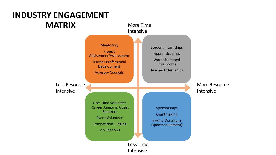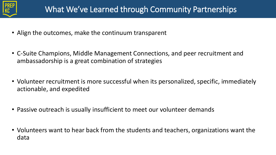

- Align the outcomes, make the continuum transparent
- C-Suite Champions, Middle Management Connections, and peer recruitment and ambassadorship is a great combination of strategies
- Volunteer recruitment is more successful when its personalized, specific, immediately actionable, and expedited
- Passive outreach is usually insufficient to meet our volunteer demands
- Volunteers want to hear back from the students and teachers, organizations want the data